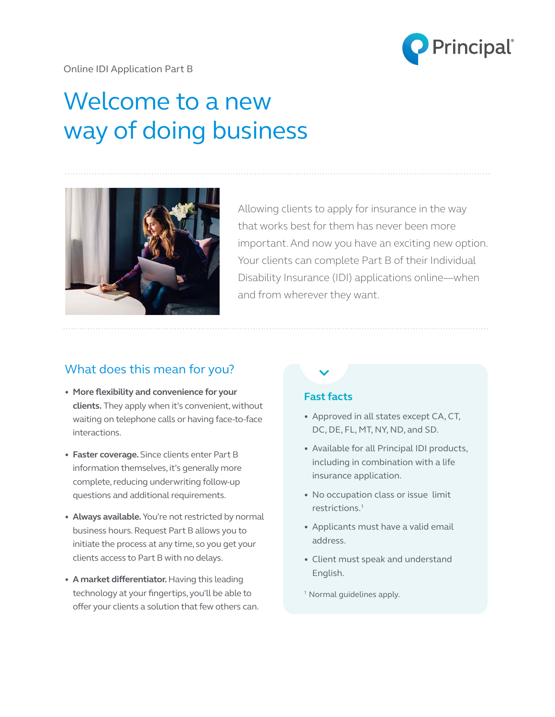

# Welcome to a new way of doing business



Allowing clients to apply for insurance in the way that works best for them has never been more important. And now you have an exciting new option. Your clients can complete Part B of their Individual Disability Insurance (IDI) applications online—when and from wherever they want.

## What does this mean for you?

- **More flexibility and convenience for your clients.** They apply when it's convenient, without waiting on telephone calls or having face-to-face interactions.
- • **Faster coverage.** Since clients enter Part B information themselves, it's generally more complete, reducing underwriting follow-up questions and additional requirements.
- • **Always available.** You're not restricted by normal business hours. Request Part B allows you to initiate the process at any time, so you get your clients access to Part B with no delays.
- **A market differentiator.** Having this leading technology at your fingertips, you'll be able to offer your clients a solution that few others can.

### **Fast facts**

- Approved in all states except CA, CT, DC, DE, FL, MT, NY, ND, and SD.
- Available for all Principal IDI products, including in combination with a life insurance application.
- No occupation class or issue limit restrictions.1
- Applicants must have a valid email address.
- Client must speak and understand English.
- <sup>1</sup> Normal guidelines apply.